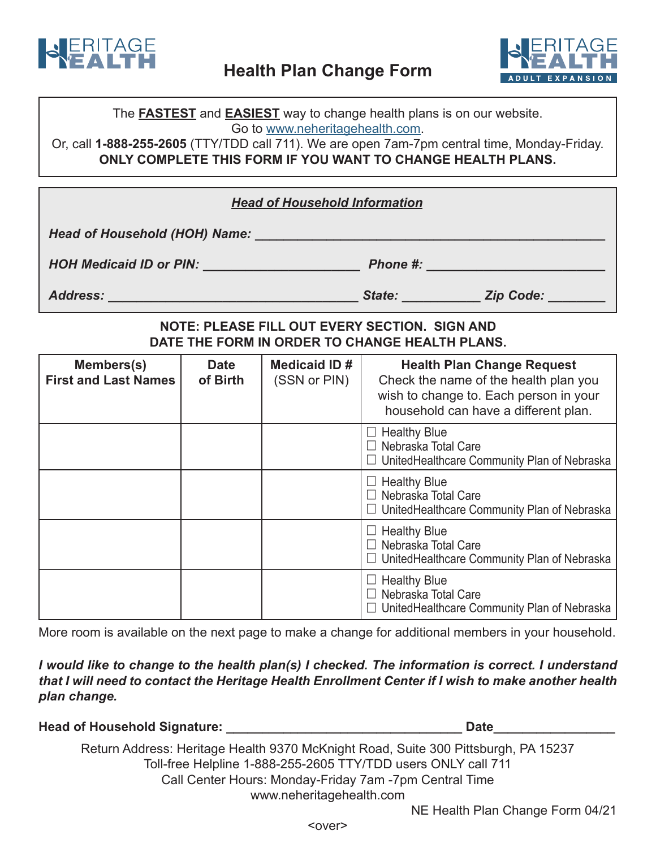



The **FASTEST** and **EASIEST** way to change health plans is on our website. Go to www.neheritagehealth.com.

Or, call 1-888-255-2605 (TTY/TDD call 711). We are open 7am-7pm central time, Monday-Friday. **ONLY COMPLETE THIS FORM IF YOU WANT TO CHANGE HEALTH PLANS.** 

| <b>Head of Household Information</b>                                                            |                         |                                         |                                                   |                                                                                                                                                              |  |  |
|-------------------------------------------------------------------------------------------------|-------------------------|-----------------------------------------|---------------------------------------------------|--------------------------------------------------------------------------------------------------------------------------------------------------------------|--|--|
| Head of Household (HOH) Name: ________                                                          |                         |                                         |                                                   |                                                                                                                                                              |  |  |
|                                                                                                 |                         |                                         |                                                   |                                                                                                                                                              |  |  |
|                                                                                                 |                         |                                         |                                                   |                                                                                                                                                              |  |  |
| NOTE: PLEASE FILL OUT EVERY SECTION. SIGN AND<br>DATE THE FORM IN ORDER TO CHANGE HEALTH PLANS. |                         |                                         |                                                   |                                                                                                                                                              |  |  |
| Members(s)<br><b>First and Last Names</b>                                                       | <b>Date</b><br>of Birth | Medicaid ID $\#$ $\mid$<br>(SSN or PIN) |                                                   | <b>Health Plan Change Request</b><br>Check the name of the health plan you<br>wish to change to. Each person in your<br>household can have a different plan. |  |  |
|                                                                                                 |                         |                                         | $\Box$ Healthy Blue<br>$\Box$ Nebraska Total Care | $\Box$ United Healthcare Community Plan of Nebraska                                                                                                          |  |  |
|                                                                                                 |                         |                                         | $\Box$ Healthy Blue<br>$\Box$ Nebraska Total Care | $\Box$ United Healthcare Community Plan of Nebraska                                                                                                          |  |  |
|                                                                                                 |                         |                                         | $\Box$ Healthy Blue<br>$\Box$ Nebraska Total Care | $\Box$ United Healthcare Community Plan of Nebraska                                                                                                          |  |  |
|                                                                                                 |                         |                                         | $\Box$ Healthy Blue<br>$\Box$ Nebraska Total Care | $\Box$ UnitedHealthcare Community Plan of Nebraska                                                                                                           |  |  |

More room is available on the next page to make a change for additional members in your household.

*I* would like to change to the health plan(s) *I* checked. The information is correct. I understand that I will need to contact the Heritage Health Enrollment Center if I wish to make another health plan change.

**\_\_\_\_\_\_\_\_\_\_\_\_\_\_\_\_\_Date \_\_\_\_\_\_\_\_\_\_\_\_\_\_\_\_\_\_\_\_\_\_\_\_\_\_\_\_\_\_\_\_\_ :Signature Household of Head**

Return Address: Heritage Health 9370 McKnight Road, Suite 300 Pittsburgh, PA 15237 Toll-free Helpline 1-888-255-2605 TTY/TDD users ONLY call 711 Call Center Hours: Monday-Friday 7am -7pm Central Time www.neheritagehealth.com

NE Health Plan Change Form 04/21